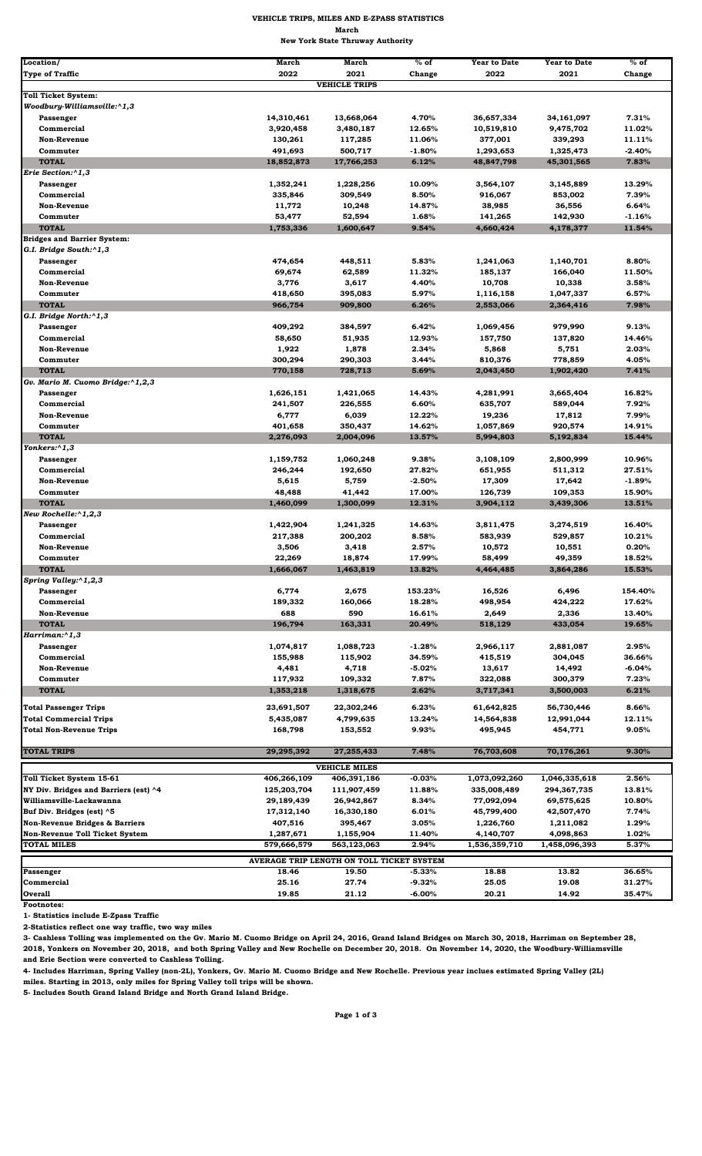| Location/                                 | <b>March</b>         | <b>March</b>         | $%$ of          | <b>Year to Date</b>  | <b>Year to Date</b>  | $%$ of   |
|-------------------------------------------|----------------------|----------------------|-----------------|----------------------|----------------------|----------|
| <b>Type of Traffic</b>                    | 2022                 | 2021                 | Change          | 2022                 | 2021                 | Change   |
|                                           |                      | <b>VEHICLE TRIPS</b> |                 |                      |                      |          |
| <b>Toll Ticket System:</b>                |                      |                      |                 |                      |                      |          |
| Woodbury-Williamsville:^1,3               |                      |                      |                 |                      |                      |          |
| Passenger                                 | 14,310,461           | 13,668,064           | 4.70%           | 36,657,334           | 34,161,097           | 7.31%    |
| Commercial                                | 3,920,458            | 3,480,187            | 12.65%          | 10,519,810           | 9,475,702            | 11.02%   |
| <b>Non-Revenue</b>                        | 130,261              | 117,285              | 11.06%          | 377,001              | 339,293              | 11.11%   |
| Commuter                                  | 491,693              | 500,717              | $-1.80%$        | 1,293,653            | 1,325,473            | $-2.40%$ |
| <b>TOTAL</b><br>Erie Section:^1,3         | 18,852,873           | 17,766,253           | 6.12%           | 48,847,798           | 45,301,565           | 7.83%    |
|                                           |                      |                      |                 |                      |                      | 13.29%   |
| Passenger<br>Commercial                   | 1,352,241<br>335,846 | 1,228,256<br>309,549 | 10.09%<br>8.50% | 3,564,107<br>916,067 | 3,145,889<br>853,002 | 7.39%    |
| <b>Non-Revenue</b>                        | 11,772               | 10,248               | 14.87%          | 38,985               | 36,556               | 6.64%    |
| Commuter                                  | 53,477               | 52,594               | 1.68%           | 141,265              | 142,930              | $-1.16%$ |
| <b>TOTAL</b>                              | 1,753,336            | 1,600,647            | 9.54%           | 4,660,424            | 4,178,377            | 11.54%   |
| <b>Bridges and Barrier System:</b>        |                      |                      |                 |                      |                      |          |
| G.I. Bridge South:^1,3                    |                      |                      |                 |                      |                      |          |
| Passenger                                 | 474,654              | 448,511              | 5.83%           | 1,241,063            | 1,140,701            | 8.80%    |
| Commercial                                | 69,674               | 62,589               | 11.32%          | 185,137              | 166,040              | 11.50%   |
| <b>Non-Revenue</b>                        | 3,776                | 3,617                | 4.40%           | 10,708               | 10,338               | 3.58%    |
| Commuter                                  | 418,650              | 395,083              | 5.97%           | 1,116,158            | 1,047,337            | 6.57%    |
| <b>TOTAL</b>                              | 966,754              | 909,800              | 6.26%           | 2,553,066            | 2,364,416            | 7.98%    |
| G.I. Bridge North:^1,3                    |                      |                      |                 |                      |                      |          |
| Passenger                                 | 409,292              | 384,597              | 6.42%           | 1,069,456            | 979,990              | 9.13%    |
| Commercial                                | 58,650               | 51,935               | 12.93%          | 157,750              | 137,820              | 14.46%   |
| <b>Non-Revenue</b>                        | 1,922                | 1,878                | 2.34%           | 5,868                | 5,751                | 2.03%    |
| Commuter                                  | 300,294              | 290,303              | 3.44%           | 810,376              | 778,859              | 4.05%    |
| <b>TOTAL</b>                              | 770,158              | 728,713              | 5.69%           | 2,043,450            | 1,902,420            | 7.41%    |
| Gv. Mario M. Cuomo Bridge:^1,2,3          |                      |                      |                 |                      |                      |          |
| Passenger                                 | 1,626,151            | 1,421,065            | 14.43%          | 4,281,991            | 3,665,404            | 16.82%   |
| Commercial                                | 241,507              | 226,555              | 6.60%           | 635,707              | 589,044              | 7.92%    |
| <b>Non-Revenue</b>                        | 6,777                | 6,039                | 12.22%          | 19,236               | 17,812               | 7.99%    |
| Commuter                                  | 401,658              | 350,437              | 14.62%          | 1,057,869            | 920,574              | 14.91%   |
| <b>TOTAL</b><br>Yonkers:^1,3              | 2,276,093            | 2,004,096            | 13.57%          | 5,994,803            | 5,192,834            | 15.44%   |
|                                           | 1,159,752            | 1,060,248            | 9.38%           | 3,108,109            | 2,800,999            | 10.96%   |
| Passenger<br>Commercial                   |                      |                      | 27.82%          |                      |                      | 27.51%   |
| <b>Non-Revenue</b>                        | 246,244<br>5,615     | 192,650<br>5,759     | $-2.50%$        | 651,955<br>17,309    | 511,312<br>17,642    | $-1.89%$ |
| Commuter                                  | 48,488               | 41,442               | 17.00%          | 126,739              | 109,353              | 15.90%   |
| <b>TOTAL</b>                              | 1,460,099            | 1,300,099            | 12.31%          | 3,904,112            | 3,439,306            | 13.51%   |
| New Rochelle:^1,2,3                       |                      |                      |                 |                      |                      |          |
| Passenger                                 | 1,422,904            | 1,241,325            | 14.63%          | 3,811,475            | 3,274,519            | 16.40%   |
| Commercial                                | 217,388              | 200,202              | 8.58%           | 583,939              | 529,857              | 10.21%   |
| Non-Revenue                               | 3,506                | 3,418                | 2.57%           | 10,572               | 10,551               | 0.20%    |
| Commuter                                  | 22,269               | 18,874               | 17.99%          | 58,499               | 49,359               | 18.52%   |
| <b>TOTAL</b>                              | 1,666,067            | 1,463,819            | 13.82%          | 4,464,485            | 3,864,286            | 15.53%   |
| Spring Valley:^1,2,3                      |                      |                      |                 |                      |                      |          |
| Passenger                                 | 6,774                | 2,675                | 153.23%         | 16,526               | 6,496                | 154.40%  |
| Commercial                                | 189,332              | 160,066              | 18.28%          | 498,954              | 424,222              | 17.62%   |
| <b>Non-Revenue</b>                        | 688                  | 590                  | 16.61%          | 2,649                | 2,336                | 13.40%   |
| <b>TOTAL</b>                              | 196,794              | 163,331              | 20.49%          | 518,129              | 433,054              | 19.65%   |
| Harriman: <sup>1</sup> ,3                 |                      |                      |                 |                      |                      |          |
| Passenger                                 | 1,074,817            | 1,088,723            | $-1.28%$        | 2,966,117            | 2,881,087            | 2.95%    |
| Commercial                                | 155,988              | 115,902              | 34.59%          | 415,519              | 304,045              | 36.66%   |
| <b>Non-Revenue</b>                        | 4,481                | 4,718                | $-5.02\%$       | 13,617               | 14,492               | $-6.04%$ |
| Commuter                                  | 117,932              | 109,332              | 7.87%           | 322,088              | 300,379              | 7.23%    |
| <b>TOTAL</b>                              | 1,353,218            | 1,318,675            | 2.62%           | 3,717,341            | 3,500,003            | 6.21%    |
| <b>Total Passenger Trips</b>              | 23,691,507           | 22,302,246           | 6.23%           | 61,642,825           | 56,730,446           | 8.66%    |
| <b>Total Commercial Trips</b>             | 5,435,087            | 4,799,635            | 13.24%          | 14,564,838           | 12,991,044           | 12.11%   |
| <b>Total Non-Revenue Trips</b>            | 168,798              | 153,552              | 9.93%           | 495,945              | 454,771              | 9.05%    |
|                                           |                      |                      |                 |                      |                      |          |
| <b>TOTAL TRIPS</b>                        | 29,295,392           | 27,255,433           | 7.48%           | 76,703,608           | 70,176,261           | 9.30%    |
|                                           |                      | <b>VEHICLE MILES</b> |                 |                      |                      |          |
| Toll Ticket System 15-61                  | 406,266,109          | 406,391,186          | $-0.03%$        | 1,073,092,260        | 1,046,335,618        | 2.56%    |
| NY Div. Bridges and Barriers (est) ^4     | 125,203,704          | 111,907,459          | 11.88%          | 335,008,489          | 294,367,735          | 13.81%   |
| Williamsville-Lackawanna                  | 29,189,439           | 26,942,867           | 8.34%           | 77,092,094           | 69,575,625           | 10.80%   |
| Buf Div. Bridges (est) ^5                 | 17,312,140           | 16,330,180           | 6.01%           | 45,799,400           | 42,507,470           | 7.74%    |
| <b>Non-Revenue Bridges &amp; Barriers</b> | 407.516              | 395,467              | 3.05%           | 1.226.760            | 1.211.082            | 1.29%    |

**Footnotes:** 

**1- Statistics include E-Zpass Traffic**

**2-Statistics reflect one way traffic, two way miles**

|                                           | .           | -------     | ------    | --------      |               | -----  |  |  |  |
|-------------------------------------------|-------------|-------------|-----------|---------------|---------------|--------|--|--|--|
| Non-Revenue Toll Ticket System            | 1.287.671   | 1.155.904   | 11.40%    | 4.140.707     | 4.098.863     | 1.02%  |  |  |  |
| <b>TOTAL MILES</b>                        | 579.666.579 | 563.123.063 | 2.94%     | 1,536,359,710 | 1.458.096.393 | 5.37%  |  |  |  |
| AVERAGE TRIP LENGTH ON TOLL TICKET SYSTEM |             |             |           |               |               |        |  |  |  |
| Passenger                                 | 18.46       | 19.50       | $-5.33%$  | 18.88         | 13.82         | 36.65% |  |  |  |
| <b>Commercial</b>                         | 25.16       | 27.74       | $-9.32%$  | 25.05         | 19.08         | 31.27% |  |  |  |
| <b>lOverall</b>                           | 19.85       | 21.12       | $-6.00\%$ | 20.21         | 14.92         | 35.47% |  |  |  |

**3- Cashless Tolling was implemented on the Gv. Mario M. Cuomo Bridge on April 24, 2016, Grand Island Bridges on March 30, 2018, Harriman on September 28, 2018, Yonkers on November 20, 2018, and both Spring Valley and New Rochelle on December 20, 2018. On November 14, 2020, the Woodbury-Williamsville and Erie Section were converted to Cashless Tolling.** 

**4- Includes Harriman, Spring Valley (non-2L), Yonkers, Gv. Mario M. Cuomo Bridge and New Rochelle. Previous year inclues estimated Spring Valley (2L)**

**miles. Starting in 2013, only miles for Spring Valley toll trips will be shown.**

**5- Includes South Grand Island Bridge and North Grand Island Bridge.**

**Page 1 of 3** 

## **VEHICLE TRIPS, MILES AND E-ZPASS STATISTICS March New York State Thruway Authority**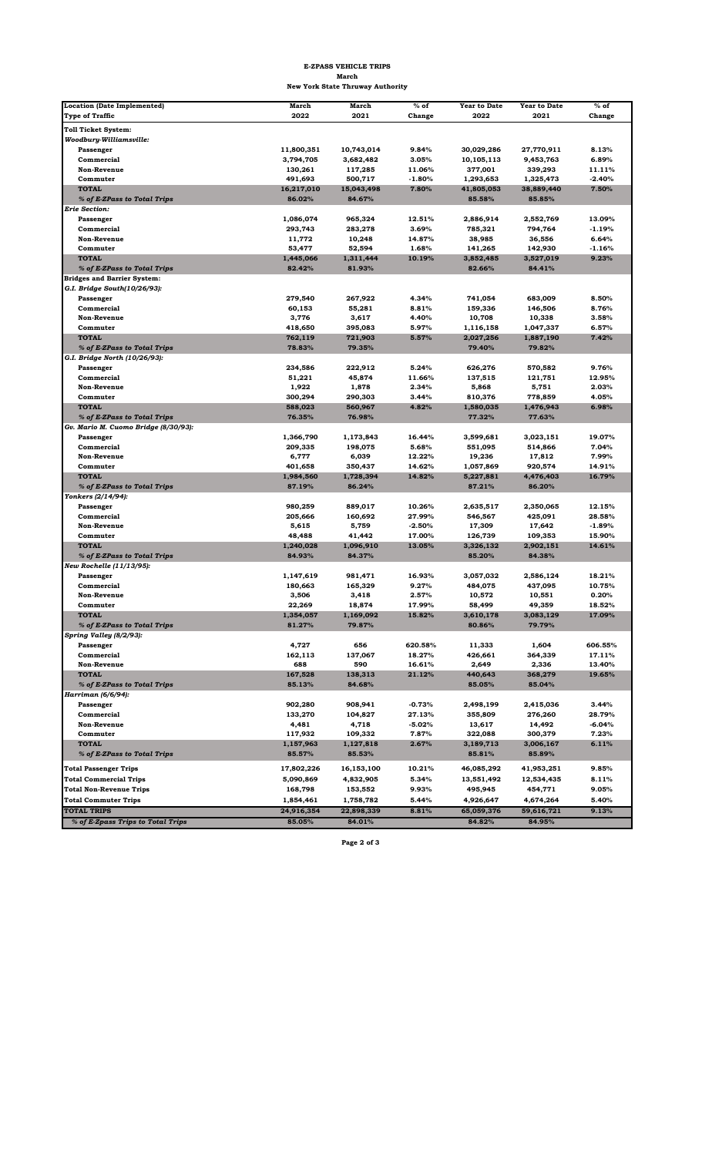| <b>Location (Date Implemented)</b>   | <b>March</b> | <b>March</b> | $%$ of   | <b>Year to Date</b> | <b>Year to Date</b> | $%$ of   |
|--------------------------------------|--------------|--------------|----------|---------------------|---------------------|----------|
| <b>Type of Traffic</b>               | 2022         | 2021         | Change   | 2022                | 2021                | Change   |
|                                      |              |              |          |                     |                     |          |
| <b>Toll Ticket System:</b>           |              |              |          |                     |                     |          |
| Woodbury-Williamsville:              |              |              |          |                     |                     |          |
| Passenger                            | 11,800,351   | 10,743,014   | 9.84%    | 30,029,286          | 27,770,911          | 8.13%    |
| Commercial                           | 3,794,705    | 3,682,482    | 3.05%    | 10,105,113          | 9,453,763           | 6.89%    |
| <b>Non-Revenue</b>                   | 130,261      | 117,285      | 11.06%   | 377,001             | 339,293             | 11.11%   |
| Commuter                             | 491,693      | 500,717      | $-1.80%$ | 1,293,653           | 1,325,473           | $-2.40%$ |
| <b>TOTAL</b>                         | 16,217,010   | 15,043,498   | 7.80%    | 41,805,053          | 38,889,440          | 7.50%    |
| % of E-ZPass to Total Trips          | 86.02%       | 84.67%       |          | 85.58%              | 85.85%              |          |
| <b>Erie Section:</b>                 |              |              |          |                     |                     |          |
| Passenger                            | 1,086,074    | 965,324      | 12.51%   | 2,886,914           | 2,552,769           | 13.09%   |
| Commercial                           | 293,743      | 283,278      | 3.69%    | 785,321             | 794,764             | -1.19%   |
| <b>Non-Revenue</b>                   | 11,772       | 10,248       | 14.87%   | 38,985              | 36,556              | 6.64%    |
| Commuter                             | 53,477       | 52,594       | 1.68%    | 141,265             | 142,930             | $-1.16%$ |
| <b>TOTAL</b>                         | 1,445,066    | 1,311,444    | 10.19%   | 3,852,485           | 3,527,019           | 9.23%    |
| % of E-ZPass to Total Trips          | 82.42%       | 81.93%       |          | 82.66%              | 84.41%              |          |
| <b>Bridges and Barrier System:</b>   |              |              |          |                     |                     |          |
| G.I. Bridge South(10/26/93):         |              |              |          |                     |                     |          |
| Passenger                            | 279,540      | 267,922      | 4.34%    | 741,054             | 683,009             | 8.50%    |
| Commercial                           | 60,153       | 55,281       | 8.81%    | 159,336             | 146,506             | 8.76%    |
| <b>Non-Revenue</b>                   | 3,776        | 3,617        | 4.40%    | 10,708              | 10,338              | 3.58%    |
| Commuter                             | 418,650      | 395,083      | 5.97%    | 1,116,158           | 1,047,337           | 6.57%    |
| <b>TOTAL</b>                         | 762,119      | 721,903      | 5.57%    | 2,027,256           | 1,887,190           | 7.42%    |
| % of E-ZPass to Total Trips          | 78.83%       | 79.35%       |          | 79.40%              | 79.82%              |          |
| G.I. Bridge North (10/26/93):        |              |              |          |                     |                     |          |
| Passenger                            | 234,586      | 222,912      | 5.24%    | 626,276             | 570,582             | 9.76%    |
| Commercial                           | 51,221       | 45,874       | 11.66%   | 137,515             | 121,751             | 12.95%   |
| <b>Non-Revenue</b>                   | 1,922        | 1,878        | 2.34%    | 5,868               | 5,751               | 2.03%    |
| Commuter                             | 300,294      | 290,303      | 3.44%    | 810,376             | 778,859             | 4.05%    |
| <b>TOTAL</b>                         | 588,023      | 560,967      | 4.82%    | 1,580,035           | 1,476,943           | 6.98%    |
| % of E-ZPass to Total Trips          | 76.35%       | 76.98%       |          | 77.32%              | 77.63%              |          |
| Gv. Mario M. Cuomo Bridge (8/30/93): |              |              |          |                     |                     |          |
| Passenger                            | 1,366,790    | 1,173,843    | 16.44%   | 3,599,681           | 3,023,151           | 19.07%   |
| Commercial                           | 209,335      | 198,075      | 5.68%    | 551,095             | 514,866             | 7.04%    |
| <b>Non-Revenue</b>                   | 6,777        | 6,039        | 12.22%   | 19,236              | 17,812              | 7.99%    |
| Commuter                             | 401,658      | 350,437      | 14.62%   | 1,057,869           | 920,574             | 14.91%   |
| <b>TOTAL</b>                         | 1,984,560    | 1,728,394    | 14.82%   | 5,227,881           | 4,476,403           | 16.79%   |
| % of E-ZPass to Total Trips          | 87.19%       | 86.24%       |          | 87.21%              | 86.20%              |          |
| Yonkers (2/14/94):                   |              |              |          |                     |                     |          |
| Passenger                            | 980,259      | 889,017      | 10.26%   | 2,635,517           | 2,350,065           | 12.15%   |
| Commercial                           | 205,666      | 160,692      | 27.99%   | 546,567             | 425,091             | 28.58%   |
| <b>Non-Revenue</b>                   | 5,615        | 5,759        | $-2.50%$ | 17,309              | 17,642              | $-1.89%$ |
| Commuter                             | 48,488       | 41,442       | 17.00%   | 126,739             | 109,353             | 15.90%   |
| <b>TOTAL</b>                         | 1,240,028    | 1,096,910    | 13.05%   | 3,326,132           | 2,902,151           | 14.61%   |
| % of E-ZPass to Total Trips          | 84.93%       | 84.37%       |          | 85.20%              | 84.38%              |          |
| New Rochelle (11/13/95):             |              |              |          |                     |                     |          |
| Passenger                            | 1,147,619    | 981,471      | 16.93%   | 3,057,032           | 2,586,124           | 18.21%   |
| Commercial                           | 180,663      | 165,329      | 9.27%    | 484,075             | 437,095             | 10.75%   |
| <b>Non-Revenue</b>                   | 3,506        | 3,418        | 2.57%    | 10,572              | 10,551              | 0.20%    |
| Commuter                             | 22,269       | 18,874       | 17.99%   | 58,499              | 49,359              | 18.52%   |
| <b>TOTAL</b>                         | 1,354,057    | 1,169,092    | 15.82%   | 3,610,178           | 3,083,129           | 17.09%   |
| % of E-ZPass to Total Trips          | 81.27%       | 79.87%       |          | 80.86%              | 79.79%              |          |
| Spring Valley (8/2/93):              |              |              |          |                     |                     |          |
| Passenger                            | 4,727        | 656          | 620.58%  | 11,333              | 1,604               | 606.55%  |
| Commercial                           | 162,113      | 137,067      | 18.27%   | 426,661             | 364,339             | 17.11%   |
| <b>Non-Revenue</b>                   | 688          | 590          | 16.61%   | 2,649               | 2,336               | 13.40%   |
| <b>TOTAL</b>                         | 167,528      | 138,313      | 21.12%   | 440,643             | 368,279             | 19.65%   |
| % of E-ZPass to Total Trips          | 85.13%       | 84.68%       |          | 85.05%              | 85.04%              |          |
| Harriman (6/6/94):                   |              |              |          |                     |                     |          |
| Passenger                            | 902,280      | 908,941      | $-0.73%$ | 2,498,199           | 2,415,036           | 3.44%    |
| Commercial                           | 133,270      | 104,827      | 27.13%   | 355,809             | 276,260             | 28.79%   |
| <b>Non-Revenue</b>                   | 4,481        | 4,718        | $-5.02%$ | 13,617              | 14,492              | $-6.04%$ |
| Commuter                             | 117,932      | 109,332      | 7.87%    | 322,088             | 300,379             | 7.23%    |
| <b>TOTAL</b>                         | 1,157,963    | 1,127,818    | 2.67%    | 3,189,713           | 3,006,167           | 6.11%    |
| % of E-ZPass to Total Trips          | 85.57%       | 85.53%       |          | 85.81%              | 85.89%              |          |
| <b>Total Passenger Trips</b>         | 17,802,226   | 16,153,100   | 10.21%   | 46,085,292          | 41,953,251          | 9.85%    |
| <b>Total Commercial Trips</b>        | 5,090,869    | 4,832,905    | 5.34%    | 13,551,492          | 12,534,435          | 8.11%    |
| <b>Total Non-Revenue Trips</b>       | 168,798      | 153,552      | 9.93%    | 495,945             | 454,771             | 9.05%    |
| <b>Total Commuter Trips</b>          | 1,854,461    | 1,758,782    | 5.44%    | 4,926,647           | 4,674,264           | 5.40%    |
| <b>TOTAL TRIPS</b>                   | 24,916,354   |              | 8.81%    |                     |                     | 9.13%    |
|                                      |              | 22,898,339   |          | 65,059,376          | 59,616,721          |          |
| % of E-Zpass Trips to Total Trips    | 85.05%       | 84.01%       |          | 84.82%              | 84.95%              |          |

**Page 2 of 3** 

## **E-ZPASS VEHICLE TRIPS March New York State Thruway Authority**